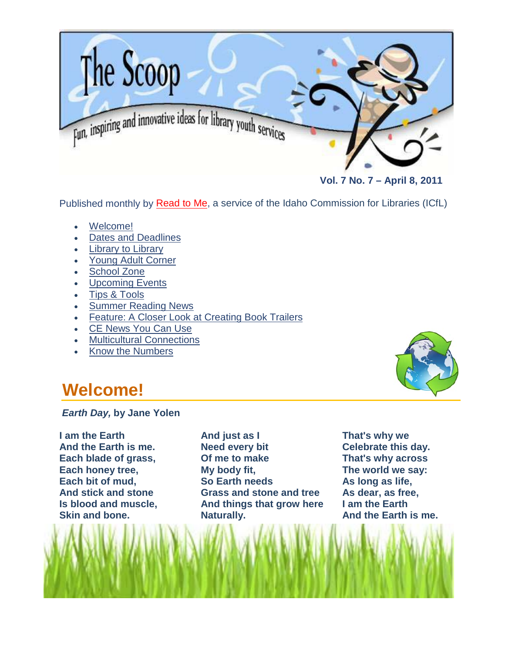<span id="page-0-0"></span>

 **Vol. 7 No. 7 – April 8, 2011**

Published monthly by [Read to Me,](http://libraries.idaho.gov/readtome) a service of the Idaho Commission for Libraries (ICfL)

- [Welcome!](#page-0-0)
- [Dates and Deadlines](#page-1-0)
- **[Library to Library](#page-1-1)**
- [Young Adult Corner](#page-2-0)
- [School Zone](#page-4-0)
- [Upcoming Events](#page-5-0)
- [Tips & Tools](#page-6-0)
- [Summer Reading News](#page-7-0)
- Feature: [A Closer Look at Creating Book Trailers](#page-7-1)
- [CE News You Can Use](#page-9-0)
- **[Multicultural Connections](#page-10-0)**
- [Know the Numbers](#page-12-0)

## **Welcome!**

*Earth Day,* **by Jane Yolen**

**I am the Earth And the Earth is me. Each blade of grass, Each honey tree, Each bit of mud, And stick and stone Is blood and muscle, Skin and bone.**

**And just as I Need every bit Of me to make My body fit, So Earth needs Grass and stone and tree And things that grow here Naturally.**



**That's why we Celebrate this day. That's why across The world we say: As long as life, As dear, as free, I am the Earth And the Earth is me.**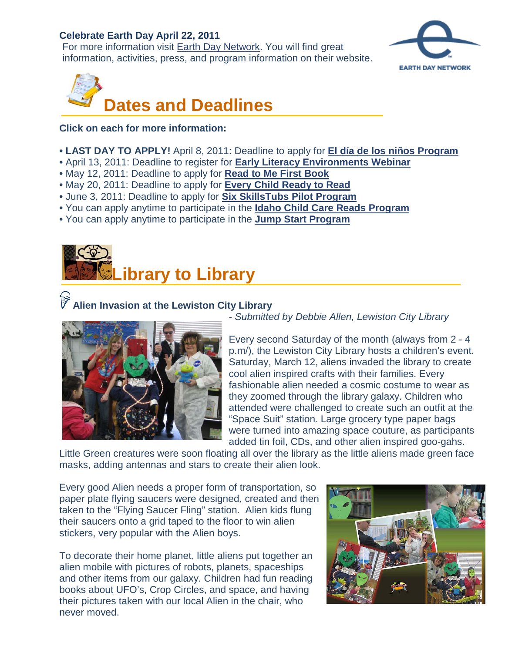#### **Celebrate Earth Day April 22, 2011**

For more information visit [Earth Day Network.](http://www.earthday.org/) You will find great information, activities, press, and program information on their website.



<span id="page-1-0"></span>

**Click on each for more information:** 

- **LAST DAY TO APPLY!** April 8, 2011: Deadline to apply for **[El día de los niños Program](http://www.surveymonkey.com/s/2011-Dia-Application)**
- April 13, 2011: Deadline to register for **[Early Literacy Environments Webinar](http://rtmwebinar.eventbrite.com/)**
- May 12, 2011: Deadline to apply for **[Read to Me First Book](http://libraries.idaho.gov/landing/first-book)**
- May 20, 2011: Deadline to apply for **[Every Child Ready to Read](http://libraries.idaho.gov/landing/every-child-ready-to-read)**
- June 3, 2011: Deadline to apply for **[Six SkillsTubs Pilot Program](#page-7-1)**
- You can apply anytime to participate in the **[Idaho Child Care Reads Program](http://libraries.idaho.gov/landing/idaho-child-care-reads)**
- You can apply anytime to participate in the **[Jump Start Program](http://libraries.idaho.gov/landing/jump-start)**

<span id="page-1-1"></span>

#### **Alien Invasion at the Lewiston City Library**



*- Submitted by Debbie Allen, Lewiston City Library*

Every second Saturday of the month (always from 2 - 4 p.m/), the Lewiston City Library hosts a children's event. Saturday, March 12, aliens invaded the library to create cool alien inspired crafts with their families. Every fashionable alien needed a cosmic costume to wear as they zoomed through the library galaxy. Children who attended were challenged to create such an outfit at the "Space Suit" station. Large grocery type paper bags were turned into amazing space couture, as participants added tin foil, CDs, and other alien inspired goo-gahs.

Little Green creatures were soon floating all over the library as the little aliens made green face masks, adding antennas and stars to create their alien look.

Every good Alien needs a proper form of transportation, so paper plate flying saucers were designed, created and then taken to the "Flying Saucer Fling" station. Alien kids flung their saucers onto a grid taped to the floor to win alien stickers, very popular with the Alien boys.

To decorate their home planet, little aliens put together an alien mobile with pictures of robots, planets, spaceships and other items from our galaxy. Children had fun reading books about UFO's, Crop Circles, and space, and having their pictures taken with our local Alien in the chair, who never moved.

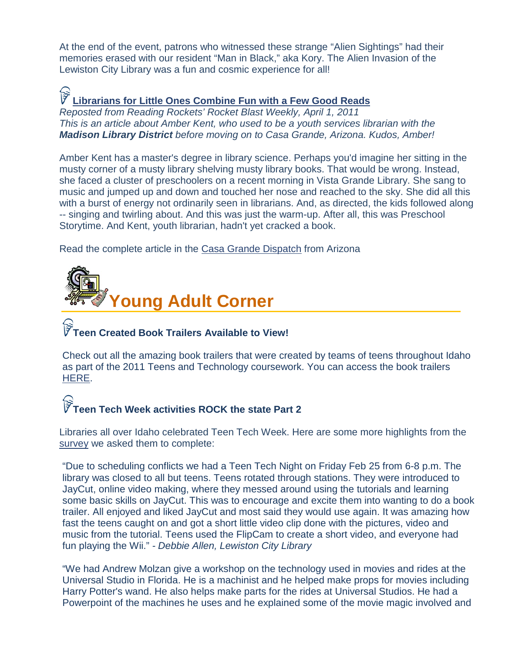At the end of the event, patrons who witnessed these strange "Alien Sightings" had their memories erased with our resident "Man in Black," aka Kory. The Alien Invasion of the Lewiston City Library was a fun and cosmic experience for all!

# **[Librarians for Little Ones Combine Fun with a Few Good Reads](http://support.weta.org/site/R?i=v7vqMzY-Cc1eGrsAYCDLhQ..)**

*Reposted from Reading Rockets' Rocket Blast Weekly, April 1, 2011 This is an article about Amber Kent, who used to be a youth services librarian with the Madison Library District before moving on to Casa Grande, Arizona. Kudos, Amber!*

Amber Kent has a master's degree in library science. Perhaps you'd imagine her sitting in the musty corner of a musty library shelving musty library books. That would be wrong. Instead, she faced a cluster of preschoolers on a recent morning in Vista Grande Library. She sang to music and jumped up and down and touched her nose and reached to the sky. She did all this with a burst of energy not ordinarily seen in librarians. And, as directed, the kids followed along -- singing and twirling about. And this was just the warm-up. After all, this was Preschool Storytime. And Kent, youth librarian, hadn't yet cracked a book.

Read the complete article in the [Casa Grande Dispatch](http://trivalleycentral.com/articles/2011/03/27/casa_grande_dispatch/top_stories/doc4d8e44d8e4ee4999895066.txt) from Arizona

<span id="page-2-0"></span>

# **Teen Created Book Trailers Available to View!**

Check out all the amazing book trailers that were created by teams of teens throughout Idaho as part of the 2011 Teens and Technology coursework. You can access the book trailers [HERE.](http://libraries.idaho.gov/files/BT-Links-Website.pdf)

# **Teen Tech Week activities ROCK the state Part 2**

Libraries all over Idaho celebrated Teen Tech Week. Here are some more highlights from the [survey](http://www.surveymonkey.com/s/8NL2JRD) we asked them to complete:

"Due to scheduling conflicts we had a Teen Tech Night on Friday Feb 25 from 6-8 p.m. The library was closed to all but teens. Teens rotated through stations. They were introduced to JayCut, online video making, where they messed around using the tutorials and learning some basic skills on JayCut. This was to encourage and excite them into wanting to do a book trailer. All enjoyed and liked JayCut and most said they would use again. It was amazing how fast the teens caught on and got a short little video clip done with the pictures, video and music from the tutorial. Teens used the FlipCam to create a short video, and everyone had fun playing the Wii." *- Debbie Allen, Lewiston City Library*

"We had Andrew Molzan give a workshop on the technology used in movies and rides at the Universal Studio in Florida. He is a machinist and he helped make props for movies including Harry Potter's wand. He also helps make parts for the rides at Universal Studios. He had a Powerpoint of the machines he uses and he explained some of the movie magic involved and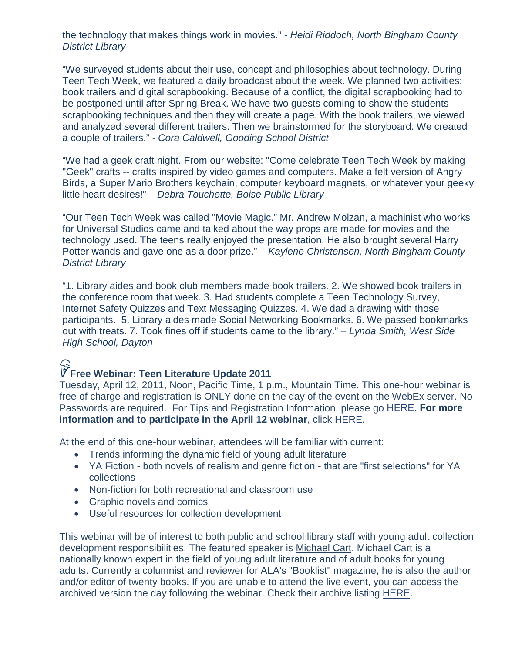the technology that makes things work in movies." *- Heidi Riddoch, North Bingham County District Library*

"We surveyed students about their use, concept and philosophies about technology. During Teen Tech Week, we featured a daily broadcast about the week. We planned two activities: book trailers and digital scrapbooking. Because of a conflict, the digital scrapbooking had to be postponed until after Spring Break. We have two guests coming to show the students scrapbooking techniques and then they will create a page. With the book trailers, we viewed and analyzed several different trailers. Then we brainstormed for the storyboard. We created a couple of trailers." *- Cora Caldwell, Gooding School District*

"We had a geek craft night. From our website: "Come celebrate Teen Tech Week by making "Geek" crafts -- crafts inspired by video games and computers. Make a felt version of Angry Birds, a Super Mario Brothers keychain, computer keyboard magnets, or whatever your geeky little heart desires!" *– Debra Touchette, Boise Public Library*

"Our Teen Tech Week was called "Movie Magic." Mr. Andrew Molzan, a machinist who works for Universal Studios came and talked about the way props are made for movies and the technology used. The teens really enjoyed the presentation. He also brought several Harry Potter wands and gave one as a door prize." *– Kaylene Christensen, North Bingham County District Library*

"1. Library aides and book club members made book trailers. 2. We showed book trailers in the conference room that week. 3. Had students complete a Teen Technology Survey, Internet Safety Quizzes and Text Messaging Quizzes. 4. We dad a drawing with those participants. 5. Library aides made Social Networking Bookmarks. 6. We passed bookmarks out with treats. 7. Took fines off if students came to the library." *– Lynda Smith, West Side High School, Dayton*

## **Free Webinar: Teen Literature Update 2011**

Tuesday, April 12, 2011, Noon, Pacific Time, 1 p.m., Mountain Time. This one-hour webinar is free of charge and registration is ONLY done on the day of the event on the WebEx server. No Passwords are required. For Tips and Registration Information, please go [HERE.](http://infopeople.org/training/webcasts/tips.html) **For more information and to participate in the April 12 webinar**, click [HERE.](http://infopeople.org/training/webcasts/webcast_data/442/index.html)

At the end of this one-hour webinar, attendees will be familiar with current:

- Trends informing the dynamic field of young adult literature
- YA Fiction both novels of realism and genre fiction that are "first selections" for YA collections
- Non-fiction for both recreational and classroom use
- Graphic novels and comics
- Useful resources for collection development

This webinar will be of interest to both public and school library staff with young adult collection development responsibilities. The featured speaker is Michael Cart. Michael Cart is a nationally known expert in the field of young adult literature and of adult books for young adults. Currently a columnist and reviewer for ALA's "Booklist" magazine, he is also the author and/or editor of twenty books. If you are unable to attend the live event, you can access the archived version the day following the webinar. Check their archive listing [HERE.](http://www.infopeople.org/training/webcasts/list/archived)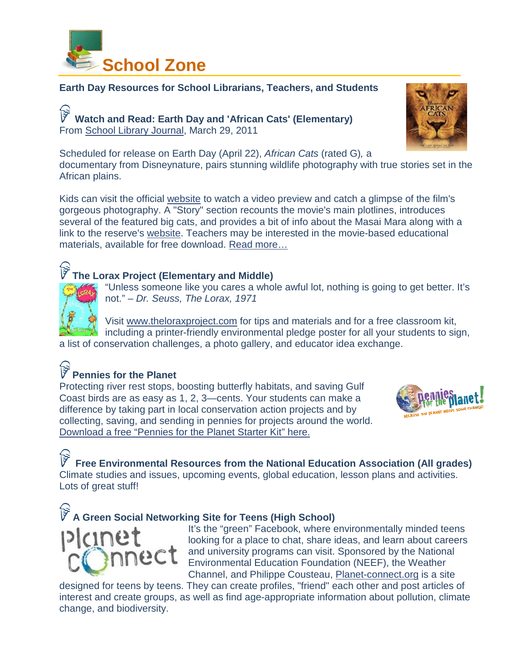<span id="page-4-0"></span>

#### **Earth Day Resources for School Librarians, Teachers, and Students**

**Watch and Read: Earth Day and 'African Cats' (Elementary)** From [School Library Journal,](http://www.schoollibraryjournal.com/slj/home/889891-312/watch_and_read_earth_day.html.csp) March 29, 2011

Scheduled for release on Earth Day (April 22), *African Cats* (rated G)*,* a documentary from Disneynature, pairs stunning wildlife photography with true stories set in the African plains.

Kids can visit the official [website](http://disney.go.com/disneynature/africancats/) to watch a video preview and catch a glimpse of the film's gorgeous photography. A "Story" section recounts the movie's main plotlines, introduces several of the featured big cats, and provides a bit of info about the Masai Mara along with a link to the reserve's [website.](http://www.maratriangle.org/) Teachers may be interested in the movie-based educational materials, available for free download. [Read more…](http://www.schoollibraryjournal.com/slj/home/889891-312/watch_and_read_earth_day.html.csp)

#### **The Lorax Project (Elementary and Middle)**



"Unless someone like you cares a whole awful lot, nothing is going to get better. It's not." *– Dr. Seuss, The Lorax, 1971*

Visit [www.theloraxproject.com](http://www.theloraxproject.com/) for tips and materials and for a free classroom kit, including a printer-friendly environmental pledge poster for all your students to sign, a list of conservation challenges, a photo gallery, and educator idea exchange.

## **Pennies for the Planet**

Protecting river rest stops, boosting butterfly habitats, and saving Gulf Coast birds are as easy as 1, 2, 3—cents. Your students can make a difference by taking part in local conservation action projects and by collecting, saving, and sending in pennies for projects around the world. [Download a free "Pennies for the Planet Starter Kit"](http://neagreenschools.groupsite.com/link/go/94471454) here.



**Free Environmental Resources from the National Education Association (All grades)** Climate studies and issues, upcoming events, global education, lesson plans and activities. Lots of great stuff!

### **A Green Social Networking Site for Teens (High School)**



It's the "green" Facebook, where environmentally minded teens looking for a place to chat, share ideas, and learn about careers and university programs can visit. Sponsored by the National Environmental Education Foundation (NEEF), the Weather Channel, and Philippe Cousteau, [Planet-connect.org](http://planet-connect.org/) is a site

designed for teens by teens. They can create profiles, "friend" each other and post articles of interest and create groups, as well as find age-appropriate information about pollution, climate change, and biodiversity.

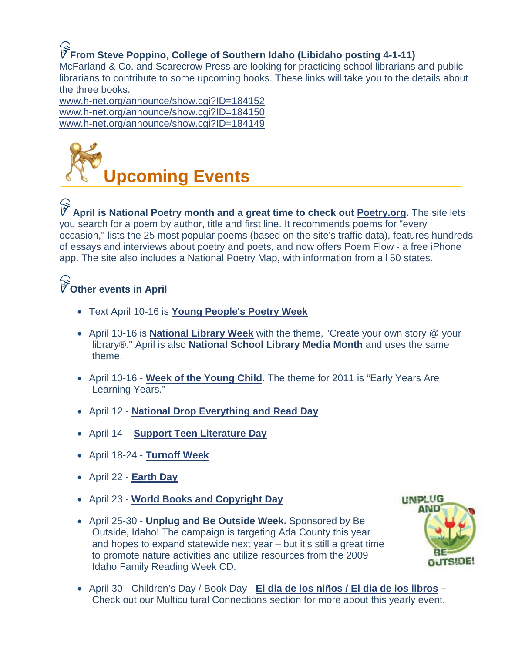# **From Steve Poppino, College of Southern Idaho (Libidaho posting 4-1-11)**

McFarland & Co. and Scarecrow Press are looking for practicing school librarians and public librarians to contribute to some upcoming books. These links will take you to the details about the three books.

[www.h-net.org/announce/show.cgi?ID=184152](http://www.h-net.org/announce/show.cgi?ID=184152) [www.h-net.org/announce/show.cgi?ID=184150](http://www.h-net.org/announce/show.cgi?ID=184150) [www.h-net.org/announce/show.cgi?ID=184149](http://www.h-net.org/announce/show.cgi?ID=184149)

<span id="page-5-0"></span>

**April is National Poetry month and a great time to check out [Poetry.org.](http://r20.rs6.net/tn.jsp?et=1103281080263&s=1815&e=001_aPgl9GdHE_XUeu8VIFPVOJxzegB3rm-0dvmZDpmxL1ifasJ8T2XHDicBt-nAoVZbbJbVGag9gew61gw4aCZNvlUT2sTmkY-V6V-d1El8P0Hu7MoCuZnfXql87qVMU6Hi0v5osCdsQY=)** The site lets you search for a poem by author, title and first line. It recommends poems for "every occasion," lists the 25 most popular poems (based on the site's traffic data), features hundreds of essays and interviews about poetry and poets, and now offers Poem Flow - a free iPhone app. The site also includes a National Poetry Map, with information from all 50 states.

## **Other events in April**

- Text April 10-16 is **[Young People's Poetry Week](http://www.cbcbooks.org/)**
- April 10-16 is **National Library Week** with the theme, "Create your own story @ your library®." April is also **National School Library Media Month** and uses the same theme.
- April 10-16 **[Week of the Young Child](http://www.naeyc.org/woyc)**. The theme for 2011 is "Early Years Are Learning Years."
- April 12 **[National Drop Everything and Read Day](http://dropeverythingandread.com/)**
- April 14 **[Support Teen Literature Day](http://wikis.ala.org/yalsa/index.php/Support_Teen_Literature_Day)**
- April 18-24 **[Turnoff Week](http://www.commercialfreechildhood.org/screenfreeweek/index.html)**
- April 22 **[Earth Day](http://www.earthday.org/earth-day-2011)**
- April 23 **[World Books and Copyright Day](http://www.un.org/en/events/bookday/)**
- April 25-30 **Unplug and Be Outside Week.** Sponsored by Be Outside, Idaho! The campaign is targeting Ada County this year and hopes to expand statewide next year – but it's still a great time to promote nature activities and utilize resources from the 2009 Idaho Family Reading Week CD.



• April 30 - Children's Day / Book Day - **[El dia de los niños / El dia de los libros](http://libraries.idaho.gov/blogs/ericacompton/el-d%C3%AD-de-los-ni%C3%B1os-program-application-open) –** Check out our Multicultural Connections section for more about this yearly event.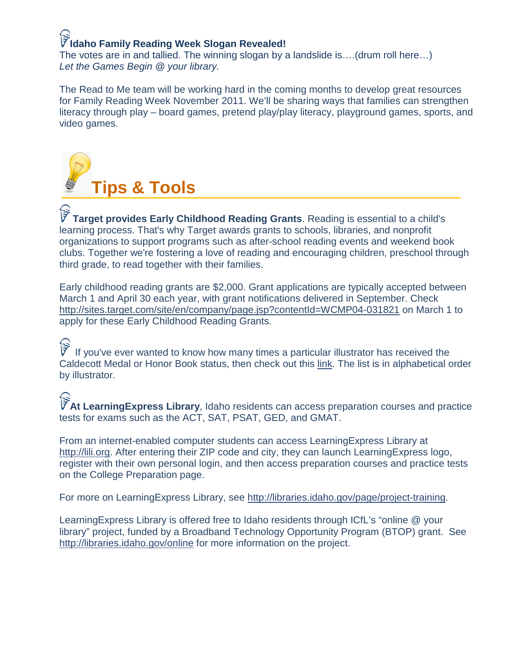## **Idaho Family Reading Week Slogan Revealed!**

The votes are in and tallied. The winning slogan by a landslide is….(drum roll here…) *Let the Games Begin @ your library.*

The Read to Me team will be working hard in the coming months to develop great resources for Family Reading Week November 2011. We'll be sharing ways that families can strengthen literacy through play – board games, pretend play/play literacy, playground games, sports, and video games.

<span id="page-6-0"></span>

**Target provides Early Childhood Reading Grants**. Reading is essential to a child's learning process. That's why Target awards grants to schools, libraries, and nonprofit organizations to support programs such as after-school reading events and weekend book clubs. Together we're fostering a love of reading and encouraging children, preschool through third grade, to read together with their families.

Early childhood reading grants are \$2,000. Grant applications are typically accepted between March 1 and April 30 each year, with grant notifications delivered in September. Check <http://sites.target.com/site/en/company/page.jsp?contentId=WCMP04-031821> on March 1 to apply for these Early Childhood Reading Grants.

If you've ever wanted to know how many times a particular illustrator has received the Caldecott Medal or Honor Book status, then check out this [link.](http://www.mnstate.edu/cmc/Bibliographies/CaldecottIllustratorsAlphabetical.cfm) The list is in alphabetical order by illustrator.

**At LearningExpress Library**, Idaho residents can access preparation courses and practice tests for exams such as the ACT, SAT, PSAT, GED, and GMAT.

From an internet-enabled computer students can access LearningExpress Library at [http://lili.org.](http://lili.org/) After entering their ZIP code and city, they can launch LearningExpress logo, register with their own personal login, and then access preparation courses and practice tests on the College Preparation page.

For more on LearningExpress Library, see [http://libraries.idaho.gov/page/project-training.](http://libraries.idaho.gov/page/project-training)

LearningExpress Library is offered free to Idaho residents through ICfL's "online @ your library" project, funded by a Broadband Technology Opportunity Program (BTOP) grant. See <http://libraries.idaho.gov/online> for more information on the project.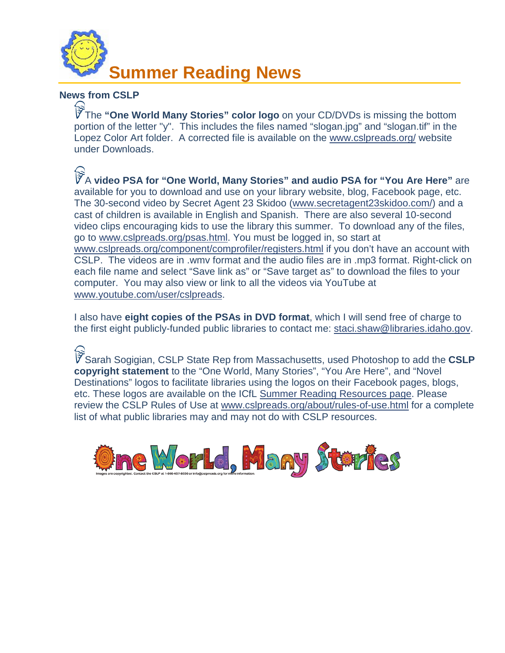<span id="page-7-0"></span>

#### **News from CSLP**

The **"One World Many Stories" color logo** on your CD/DVDs is missing the bottom portion of the letter "y". This includes the files named "slogan.jpg" and "slogan.tif" in the Lopez Color Art folder. A corrected file is available on the [www.cslpreads.org/](http://www.cslpreads.org/) website under Downloads.

A **video PSA for "One World, Many Stories" and audio PSA for "You Are Here"** are available for you to download and use on your library website, blog, Facebook page, etc. The 30-second video by Secret Agent 23 Skidoo [\(www.secretagent23skidoo.com/\)](http://www.secretagent23skidoo.com/) and a cast of children is available in English and Spanish. There are also several 10-second video clips encouraging kids to use the library this summer. To download any of the files, go to [www.cslpreads.org/psas.html.](http://www.cslpreads.org/psas.html) You must be logged in, so start at [www.cslpreads.org/component/comprofiler/registers.html](http://www.cslpreads.org/component/comprofiler/registers.html) if you don't have an account with CSLP. The videos are in .wmv format and the audio files are in .mp3 format. Right-click on each file name and select "Save link as" or "Save target as" to download the files to your computer. You may also view or link to all the videos via YouTube at [www.youtube.com/user/cslpreads.](http://www.youtube.com/user/cslpreads)

I also have **eight copies of the PSAs in DVD format**, which I will send free of charge to the first eight publicly-funded public libraries to contact me: [staci.shaw@libraries.idaho.gov.](mailto:staci.shaw@libraries.idaho.gov)

Sarah Sogigian, CSLP State Rep from Massachusetts, used Photoshop to add the **CSLP copyright statement** to the "One World, Many Stories", "You Are Here", and "Novel Destinations" logos to facilitate libraries using the logos on their Facebook pages, blogs, etc. These logos are available on the ICfL [Summer Reading Resources](http://libraries.idaho.gov/page/summer-reading-resources) page. Please review the CSLP Rules of Use at [www.cslpreads.org/about/rules-of-use.html](http://www.cslpreads.org/about/rules-of-use.html) for a complete list of what public libraries may and may not do with CSLP resources.

<span id="page-7-1"></span>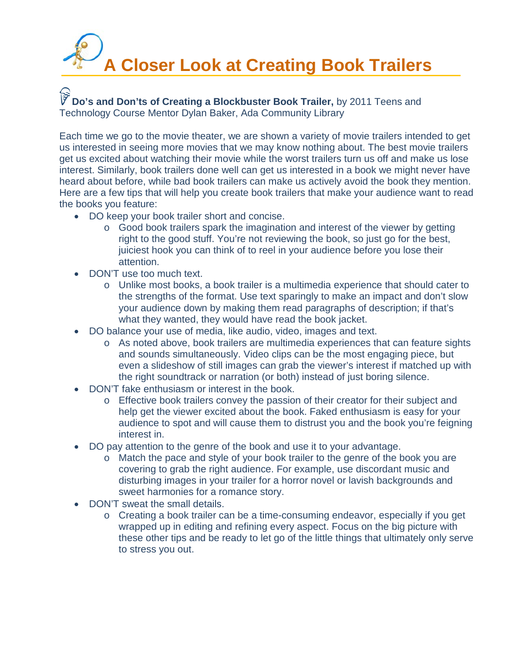# **A Closer Look at Creating Book Trailers**

**Do's and Don'ts of Creating a Blockbuster Book Trailer,** by 2011 Teens and Technology Course Mentor Dylan Baker, Ada Community Library

Each time we go to the movie theater, we are shown a variety of movie trailers intended to get us interested in seeing more movies that we may know nothing about. The best movie trailers get us excited about watching their movie while the worst trailers turn us off and make us lose interest. Similarly, book trailers done well can get us interested in a book we might never have heard about before, while bad book trailers can make us actively avoid the book they mention. Here are a few tips that will help you create book trailers that make your audience want to read the books you feature:

- DO keep your book trailer short and concise.
	- o Good book trailers spark the imagination and interest of the viewer by getting right to the good stuff. You're not reviewing the book, so just go for the best, juiciest hook you can think of to reel in your audience before you lose their attention.
- DON'T use too much text.
	- o Unlike most books, a book trailer is a multimedia experience that should cater to the strengths of the format. Use text sparingly to make an impact and don't slow your audience down by making them read paragraphs of description; if that's what they wanted, they would have read the book jacket.
- DO balance your use of media, like audio, video, images and text.
	- o As noted above, book trailers are multimedia experiences that can feature sights and sounds simultaneously. Video clips can be the most engaging piece, but even a slideshow of still images can grab the viewer's interest if matched up with the right soundtrack or narration (or both) instead of just boring silence.
- DON'T fake enthusiasm or interest in the book.
	- o Effective book trailers convey the passion of their creator for their subject and help get the viewer excited about the book. Faked enthusiasm is easy for your audience to spot and will cause them to distrust you and the book you're feigning interest in.
- DO pay attention to the genre of the book and use it to your advantage.
	- o Match the pace and style of your book trailer to the genre of the book you are covering to grab the right audience. For example, use discordant music and disturbing images in your trailer for a horror novel or lavish backgrounds and sweet harmonies for a romance story.
- DON'T sweat the small details.
	- o Creating a book trailer can be a time-consuming endeavor, especially if you get wrapped up in editing and refining every aspect. Focus on the big picture with these other tips and be ready to let go of the little things that ultimately only serve to stress you out.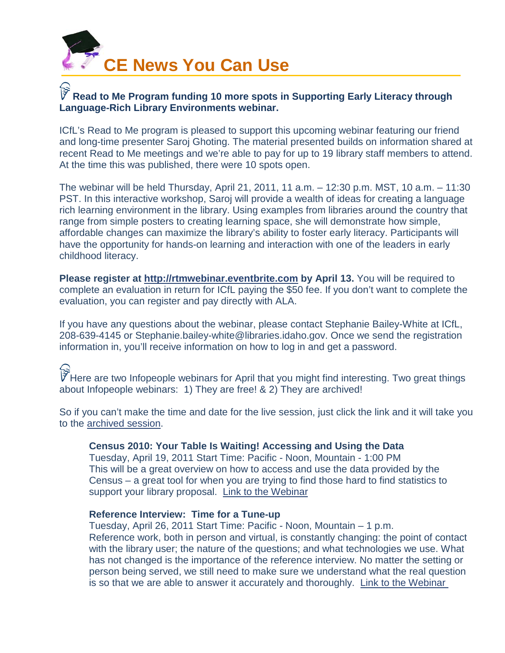<span id="page-9-0"></span>

#### **Read to Me Program funding 10 more spots in Supporting Early Literacy through Language-Rich Library Environments webinar.**

ICfL's Read to Me program is pleased to support this upcoming webinar featuring our friend and long-time presenter Saroj Ghoting. The material presented builds on information shared at recent Read to Me meetings and we're able to pay for up to 19 library staff members to attend. At the time this was published, there were 10 spots open.

The webinar will be held Thursday, April 21, 2011, 11 a.m. – 12:30 p.m. MST, 10 a.m. – 11:30 PST. In this interactive workshop, Saroj will provide a wealth of ideas for creating a language rich learning environment in the library. Using examples from libraries around the country that range from simple posters to creating learning space, she will demonstrate how simple, affordable changes can maximize the library's ability to foster early literacy. Participants will have the opportunity for hands-on learning and interaction with one of the leaders in early childhood literacy.

**Please register at [http://rtmwebinar.eventbrite.com](http://rtmwebinar.eventbrite.com/) by April 13.** You will be required to complete an evaluation in return for ICfL paying the \$50 fee. If you don't want to complete the evaluation, you can register and pay directly with ALA.

If you have any questions about the webinar, please contact Stephanie Bailey-White at ICfL, 208-639-4145 or Stephanie.bailey-white@libraries.idaho.gov. Once we send the registration information in, you'll receive information on how to log in and get a password.

 $\widetilde{\widetilde{V}}$  Here are two Infopeople webinars for April that you might find interesting. Two great things about Infopeople webinars: 1) They are free! & 2) They are archived!

So if you can't make the time and date for the live session, just click the link and it will take you to the [archived session.](http://infopeople.org/training/view/webinar/archived)

#### **Census 2010: Your Table Is Waiting! Accessing and Using the Data**

Tuesday, April 19, 2011 Start Time: Pacific - Noon, Mountain - 1:00 PM This will be a great overview on how to access and use the data provided by the Census – a great tool for when you are trying to find those hard to find statistics to support your library proposal. [Link to the Webinar](http://infopeople.org/training/census-2010-your-table-waiting-accessing-and-using-data)

#### **Reference Interview: Time for a Tune-up**

Tuesday, April 26, 2011 Start Time: Pacific - Noon, Mountain – 1 p.m. Reference work, both in person and virtual, is constantly changing: the point of contact with the library user; the nature of the questions; and what technologies we use. What has not changed is the importance of the reference interview. No matter the setting or person being served, we still need to make sure we understand what the real question is so that we are able to answer it accurately and thoroughly. [Link to the Webinar](http://infopeople.org/training/reference-interview-time-tune)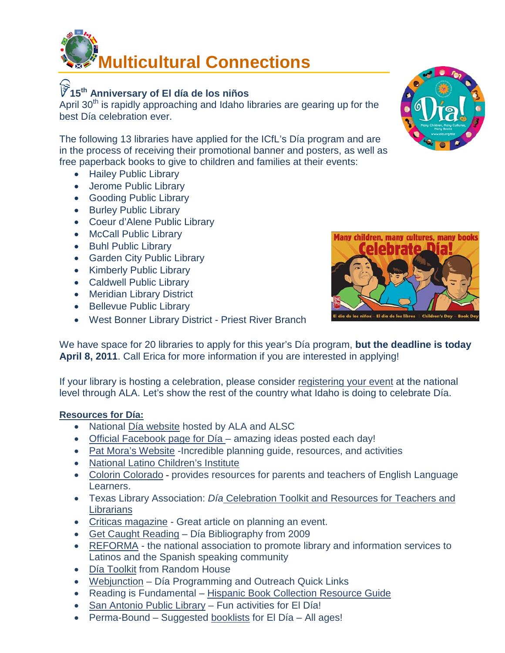<span id="page-10-0"></span>

## **15th Anniversary of El día de los niños**

April  $30<sup>th</sup>$  is rapidly approaching and Idaho libraries are gearing up for the best Día celebration ever.

The following 13 libraries have applied for the ICfL's Día program and are in the process of receiving their promotional banner and posters, as well as free paperback books to give to children and families at their events:

- Hailey Public Library
- Jerome Public Library
- Gooding Public Library
- Burley Public Library
- Coeur d'Alene Public Library
- McCall Public Library
- Buhl Public Library
- Garden City Public Library
- Kimberly Public Library
- Caldwell Public Library
- Meridian Library District
- Bellevue Public Library
- West Bonner Library District Priest River Branch



We have space for 20 libraries to apply for this year's Día program, **but the deadline is today April 8, 2011**. Call Erica for more information if you are interested in applying!

If your library is hosting a celebration, please consider [registering your event](https://cs.ala.org/websurvey/alsc/dia/) at the national level through ALA. Let's show the rest of the country what Idaho is doing to celebrate Día.

#### **Resources for Día:**

- National [Día website](http://www.ala.org/ala/mgrps/divs/alsc/initiatives/diadelosninos/index.cfm) hosted by ALA and ALSC
- Official Facebook page for Día amazing ideas posted each day!
- [Pat Mora's Website](http://www.patmora.com/dia.htm) -Incredible planning guide, resources, and activities
- [National Latino Children's Institute](http://www.nlci.org/DLN2004/dlnmain.htm)
- [Colorin Colorado](http://www.colorincolorado.org/calendar/celebrations/dia) provides resources for parents and teachers of English Language Learners.
- Texas Library Association: *Día* [Celebration Toolkit and Resources for Teachers and](http://www.texasdia.org/)  **[Librarians](http://www.texasdia.org/)**
- [Criticas magazine](http://www.criticasmagazine.com/article/CA6430584.html) Great article on planning an event.
- [Get Caught Reading](http://www.getcaughtreading.org/pressreleases/dia_list_2009a.pdf) Día Bibliography from 2009
- [REFORMA](http://reforma.org/resources/ninos/dia.html) the national association to promote library and information services to Latinos and the Spanish speaking community
- [Día Toolkit](http://www.ala.org/ala/mgrps/divs/alsc/initiatives/diadelosninos/diaresources/Random%20House%20Tool%20Kit%20download.pdf) from Random House
- [Webjunction](http://www.webjunction.org/slo/articles/content/445965) Día Programming and Outreach Quick Links
- Reading is Fundamental [Hispanic Book Collection Resource Guide](http://www.rif.org/assets/Documents/StorySamplers/HispanicBookCollection.pdf)
- [San Antonio Public Library](http://www.sat.lib.tx.us/Special/DDLN/fun.htm) Fun activities for El Día!
- Perma-Bound Suggested [booklists](http://www.perma-bound.com/SearchBooklist/32006) for El Día All ages!

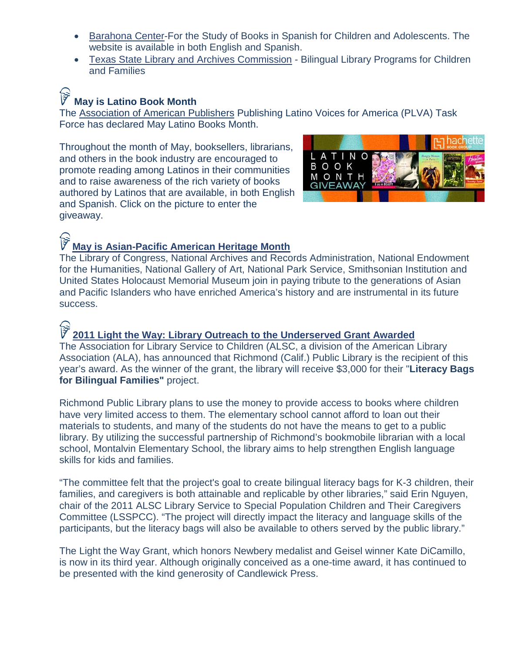- [Barahona Center-](http://www2.csusm.edu/csb/WebEng.html)For the Study of Books in Spanish for Children and Adolescents. The website is available in both English and Spanish.
- [Texas State Library and Archives Commission](http://www.tsl.state.tx.us/ld/pubs/bilingual/index.html) Bilingual Library Programs for Children and Families

## **May is Latino Book Month**

The [Association of American Publishers](http://www.publishers.org/main/Latino/latino_01.htm) Publishing Latino Voices for America (PLVA) Task Force has declared May Latino Books Month.

Throughout the month of May, booksellers, librarians, and others in the book industry are encouraged to promote reading among Latinos in their communities and to raise awareness of the rich variety of books authored by Latinos that are available, in both English and Spanish. Click on the picture to enter the giveaway.



#### **[May is Asian-Pacific American Heritage Month](http://asianpacificheritage.gov/)**

The Library of Congress, National Archives and Records Administration, National Endowment for the Humanities, National Gallery of Art, National Park Service, Smithsonian Institution and United States Holocaust Memorial Museum join in paying tribute to the generations of Asian and Pacific Islanders who have enriched America's history and are instrumental in its future success.

## I

#### **[2011 Light the Way: Library Outreach to the Underserved Grant](http://www.ala.org/ala/mgrps/divs/alsc/awardsgrants/profawards/candlewicklighttheway/Current_Winner.cfm) Awarded**

The Association for Library Service to Children (ALSC, a division of the American Library Association (ALA), has announced that Richmond (Calif.) Public Library is the recipient of this year's award. As the winner of the grant, the library will receive \$3,000 for their "**Literacy Bags for Bilingual Families"** project.

Richmond Public Library plans to use the money to provide access to books where children have very limited access to them. The elementary school cannot afford to loan out their materials to students, and many of the students do not have the means to get to a public library. By utilizing the successful partnership of Richmond's bookmobile librarian with a local school, Montalvin Elementary School, the library aims to help strengthen English language skills for kids and families.

"The committee felt that the project's goal to create bilingual literacy bags for K-3 children, their families, and caregivers is both attainable and replicable by other libraries," said Erin Nguyen, chair of the 2011 ALSC Library Service to Special Population Children and Their Caregivers Committee (LSSPCC). "The project will directly impact the literacy and language skills of the participants, but the literacy bags will also be available to others served by the public library."

The Light the Way Grant, which honors Newbery medalist and Geisel winner Kate DiCamillo, is now in its third year. Although originally conceived as a one-time award, it has continued to be presented with the kind generosity of Candlewick Press.